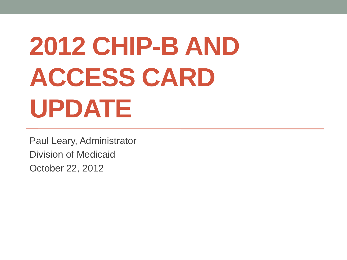# **2012 CHIP-B AND ACCESS CARD UPDATE**

Paul Leary, Administrator Division of Medicaid October 22, 2012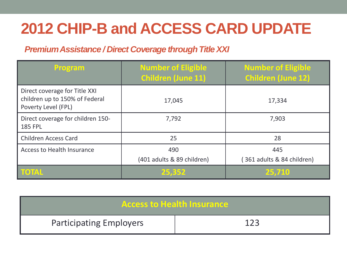#### *Premium Assistance / Direct Coverage through Title XXI*

| Program                                                                                | <b>Number of Eligible</b><br><b>Children (June 11)</b> | <b>Number of Eligible</b><br><b>Children (June 12)</b> |  |
|----------------------------------------------------------------------------------------|--------------------------------------------------------|--------------------------------------------------------|--|
| Direct coverage for Title XXI<br>children up to 150% of Federal<br>Poverty Level (FPL) | 17,045                                                 | 17,334                                                 |  |
| Direct coverage for children 150-<br><b>185 FPL</b>                                    | 7,792                                                  | 7,903                                                  |  |
| <b>Children Access Card</b>                                                            | 25                                                     | 28                                                     |  |
| <b>Access to Health Insurance</b>                                                      | 490<br>(401 adults & 89 children)                      | 445<br>361 adults & 84 children)                       |  |
| TOTAL                                                                                  | 25,352                                                 | 25,710                                                 |  |

| <b>Access to Health Insurance</b> |     |  |  |  |  |
|-----------------------------------|-----|--|--|--|--|
| <b>Participating Employers</b>    | 1つっ |  |  |  |  |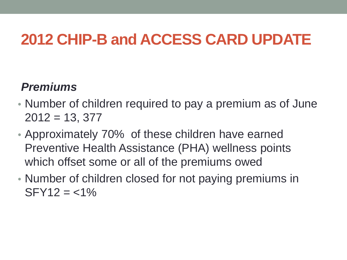#### *Premiums*

- Number of children required to pay a premium as of June  $2012 = 13, 377$
- Approximately 70% of these children have earned Preventive Health Assistance (PHA) wellness points which offset some or all of the premiums owed
- Number of children closed for not paying premiums in  $SFY12 = <1\%$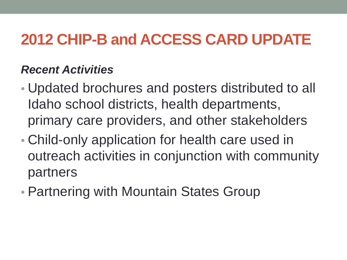#### *Recent Activities*

- Updated brochures and posters distributed to all Idaho school districts, health departments, primary care providers, and other stakeholders
- Child-only application for health care used in outreach activities in conjunction with community partners
- Partnering with Mountain States Group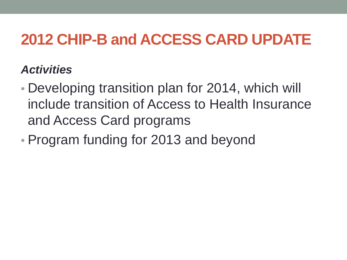#### *Activities*

- Developing transition plan for 2014, which will include transition of Access to Health Insurance and Access Card programs
- Program funding for 2013 and beyond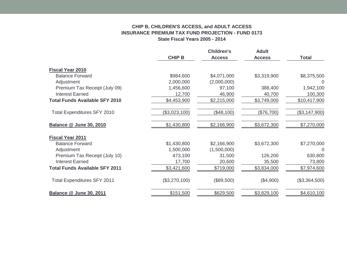#### **CHIP B, CHILDREN'S ACCESS, and ADULT ACCESS INSURANCE PREMIUM TAX FUND PROJECTION - FUND 0173 State Fiscal Years 2005 - 2014**

|                                       |               | <b>Children's</b> | <b>Adult</b>  |               |
|---------------------------------------|---------------|-------------------|---------------|---------------|
|                                       | <b>CHIP B</b> | <b>Access</b>     | <b>Access</b> | <b>Total</b>  |
| <b>Fiscal Year 2010</b>               |               |                   |               |               |
| <b>Balance Forward</b>                | \$984,600     | \$4,071,000       | \$3,319,900   | \$8,375,500   |
| Adjustment                            | 2,000,000     | (2,000,000)       |               | $\Omega$      |
| Premium Tax Receipt (July 09)         | 1,456,600     | 97,100            | 388,400       | 1,942,100     |
| <b>Interest Earned</b>                | 12,700        | 46,900            | 40,700        | 100,300       |
| <b>Total Funds Available SFY 2010</b> | \$4,453,900   | \$2,215,000       | \$3,749,000   | \$10,417,900  |
| Total Expenditures SFY 2010           | (\$3,023,100) | (\$48,100)        | (\$76,700)    | (\$3,147,900) |
| <b>Balance @ June 30, 2010</b>        | \$1,430,800   | \$2,166,900       | \$3,672,300   | \$7,270,000   |
| <b>Fiscal Year 2011</b>               |               |                   |               |               |
| <b>Balance Forward</b>                | \$1,430,800   | \$2,166,900       | \$3,672,300   | \$7,270,000   |
| Adjustment                            | 1,500,000     | (1,500,000)       |               | $\Omega$      |
| Premium Tax Receipt (July 10)         | 473,100       | 31,500            | 126,200       | 630,800       |
| <b>Interest Earned</b>                | 17,700        | 20,600            | 35,500        | 73,800        |
| <b>Total Funds Available SFY 2011</b> | \$3,421,600   | \$719,000         | \$3,834,000   | \$7,974,600   |
| <b>Total Expenditures SFY 2011</b>    | (\$3,270,100) | (\$89,500)        | (\$4,900)     | (\$3,364,500) |
| <b>Balance @ June 30, 2011</b>        | \$151,500     | \$629,500         | \$3,829,100   | \$4,610,100   |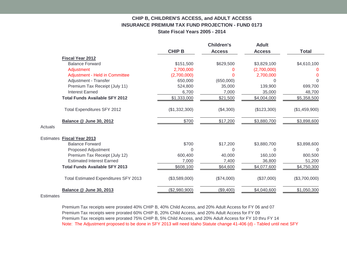#### **CHIP B, CHILDREN'S ACCESS, and ADULT ACCESS INSURANCE PREMIUM TAX FUND PROJECTION - FUND 0173 State Fiscal Years 2005 - 2014**

|                            |                                       |               | <b>Children's</b> | <b>Adult</b>  |               |
|----------------------------|---------------------------------------|---------------|-------------------|---------------|---------------|
|                            |                                       | <b>CHIP B</b> | <b>Access</b>     | <b>Access</b> | <b>Total</b>  |
| <b>Fiscal Year 2012</b>    |                                       |               |                   |               |               |
|                            | <b>Balance Forward</b>                | \$151,500     | \$629,500         | \$3,829,100   | \$4,610,100   |
| Adjustment                 |                                       | 2.700.000     |                   | (2,700,000)   |               |
|                            | Adjustment - Held in Committee        | (2,700,000)   | 0                 | 2,700,000     |               |
|                            | Adjustment - Transfer                 | 650.000       | (650,000)         | $\Omega$      | $\Omega$      |
|                            | Premium Tax Receipt (July 11)         | 524,800       | 35,000            | 139,900       | 699,700       |
| <b>Interest Earned</b>     |                                       | 6,700         | 7,000             | 35,000        | 48,700        |
|                            | <b>Total Funds Available SFY 2012</b> | \$1,333,000   | \$21,500          | \$4,004,000   | \$5,358,500   |
|                            | Total Expenditures SFY 2012           | (\$1,332,300) | (\$4,300)         | (\$123,300)   | (\$1,459,900) |
|                            | <b>Balance @ June 30, 2012</b>        | \$700         | \$17,200          | \$3,880,700   | \$3,898,600   |
| Actuals                    |                                       |               |                   |               |               |
| Estimates Fiscal Year 2013 |                                       |               |                   |               |               |
|                            | <b>Balance Forward</b>                | \$700         | \$17,200          | \$3,880,700   | \$3,898,600   |
|                            | Proposed Adjustment                   | O             | $\Omega$          | $\Omega$      | $\Omega$      |
|                            | Premium Tax Receipt (July 12)         | 600,400       | 40,000            | 160,100       | 800,500       |
|                            | <b>Estimated Interest Earned</b>      | 7,000         | 7,400             | 36,800        | 51,200        |
|                            | <b>Total Funds Available SFY 2013</b> | \$608,100     | \$64,600          | \$4,077,600   | \$4,750,300   |
|                            | Total Estimated Expenditures SFY 2013 | (\$3,589,000) | (\$74,000)        | (\$37,000)    | (\$3,700,000) |
|                            | Balance @ June 30, 2013               | (\$2,980,900) | (\$9,400)         | \$4,040,600   | \$1,050,300   |

**Estimates** 

Premium Tax receipts were prorated 40% CHIP B, 40% Child Access, and 20% Adult Access for FY 06 and 07 Premium Tax receipts were prorated 60% CHIP B, 20% Child Access, and 20% Adult Access for FY 09 Premium Tax receipts were prorated 75% CHIP B, 5% Child Access, and 20% Adult Access for FY 10 thru FY 14 Note: The Adjustment proposed to be done in SFY 2013 will need Idaho Statute change 41-406 (d) - Tabled until next SFY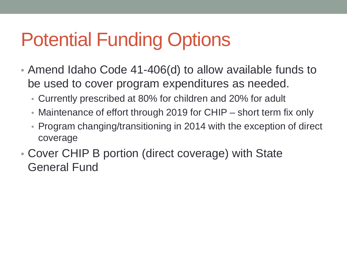# Potential Funding Options

- Amend Idaho Code 41-406(d) to allow available funds to be used to cover program expenditures as needed.
	- Currently prescribed at 80% for children and 20% for adult
	- Maintenance of effort through 2019 for CHIP short term fix only
	- Program changing/transitioning in 2014 with the exception of direct coverage
- Cover CHIP B portion (direct coverage) with State General Fund